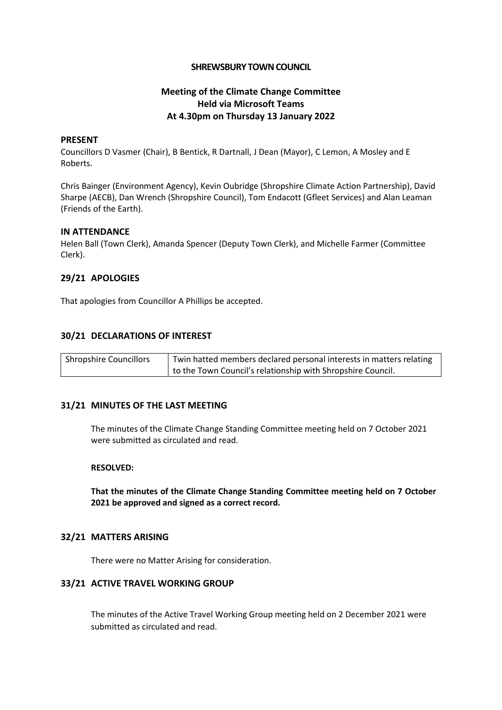# **SHREWSBURY TOWN COUNCIL**

# **Meeting of the Climate Change Committee Held via Microsoft Teams At 4.30pm on Thursday 13 January 2022**

### **PRESENT**

Councillors D Vasmer (Chair), B Bentick, R Dartnall, J Dean (Mayor), C Lemon, A Mosley and E Roberts.

Chris Bainger (Environment Agency), Kevin Oubridge (Shropshire Climate Action Partnership), David Sharpe (AECB), Dan Wrench (Shropshire Council), Tom Endacott (Gfleet Services) and Alan Leaman (Friends of the Earth).

### **IN ATTENDANCE**

Helen Ball (Town Clerk), Amanda Spencer (Deputy Town Clerk), and Michelle Farmer (Committee Clerk).

# **29/21 APOLOGIES**

That apologies from Councillor A Phillips be accepted.

# **30/21 DECLARATIONS OF INTEREST**

| Shropshire Councillors | Twin hatted members declared personal interests in matters relating |
|------------------------|---------------------------------------------------------------------|
|                        | to the Town Council's relationship with Shropshire Council.         |

### **31/21 MINUTES OF THE LAST MEETING**

The minutes of the Climate Change Standing Committee meeting held on 7 October 2021 were submitted as circulated and read.

### **RESOLVED:**

**That the minutes of the Climate Change Standing Committee meeting held on 7 October 2021 be approved and signed as a correct record.**

### **32/21 MATTERS ARISING**

There were no Matter Arising for consideration.

### **33/21 ACTIVE TRAVEL WORKING GROUP**

The minutes of the Active Travel Working Group meeting held on 2 December 2021 were submitted as circulated and read.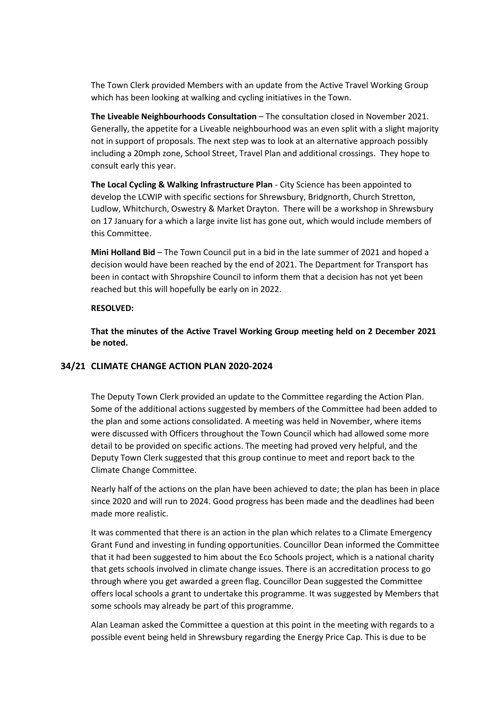The Town Clerk provided Members with an update from the Active Travel Working Group which has been looking at walking and cycling initiatives in the Town.

**The Liveable Neighbourhoods Consultation** – The consultation closed in November 2021. Generally, the appetite for a Liveable neighbourhood was an even split with a slight majority not in support of proposals. The next step was to look at an alternative approach possibly including a 20mph zone, School Street, Travel Plan and additional crossings. They hope to consult early this year.

**The Local Cycling & Walking Infrastructure Plan** - City Science has been appointed to develop the LCWIP with specific sections for Shrewsbury, Bridgnorth, Church Stretton, Ludlow, Whitchurch, Oswestry & Market Drayton. There will be a workshop in Shrewsbury on 17 January for a which a large invite list has gone out, which would include members of this Committee.

**Mini Holland Bid** – The Town Council put in a bid in the late summer of 2021 and hoped a decision would have been reached by the end of 2021. The Department for Transport has been in contact with Shropshire Council to inform them that a decision has not yet been reached but this will hopefully be early on in 2022.

#### **RESOLVED:**

**That the minutes of the Active Travel Working Group meeting held on 2 December 2021 be noted.**

# **34/21 CLIMATE CHANGE ACTION PLAN 2020-2024**

The Deputy Town Clerk provided an update to the Committee regarding the Action Plan. Some of the additional actions suggested by members of the Committee had been added to the plan and some actions consolidated. A meeting was held in November, where items were discussed with Officers throughout the Town Council which had allowed some more detail to be provided on specific actions. The meeting had proved very helpful, and the Deputy Town Clerk suggested that this group continue to meet and report back to the Climate Change Committee.

Nearly half of the actions on the plan have been achieved to date; the plan has been in place since 2020 and will run to 2024. Good progress has been made and the deadlines had been made more realistic.

It was commented that there is an action in the plan which relates to a Climate Emergency Grant Fund and investing in funding opportunities. Councillor Dean informed the Committee that it had been suggested to him about the Eco Schools project, which is a national charity that gets schools involved in climate change issues. There is an accreditation process to go through where you get awarded a green flag. Councillor Dean suggested the Committee offers local schools a grant to undertake this programme. It was suggested by Members that some schools may already be part of this programme.

Alan Leaman asked the Committee a question at this point in the meeting with regards to a possible event being held in Shrewsbury regarding the Energy Price Cap. This is due to be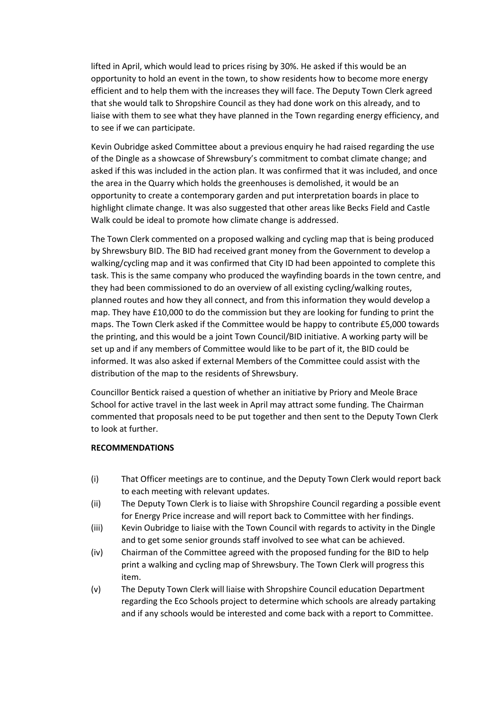lifted in April, which would lead to prices rising by 30%. He asked if this would be an opportunity to hold an event in the town, to show residents how to become more energy efficient and to help them with the increases they will face. The Deputy Town Clerk agreed that she would talk to Shropshire Council as they had done work on this already, and to liaise with them to see what they have planned in the Town regarding energy efficiency, and to see if we can participate.

Kevin Oubridge asked Committee about a previous enquiry he had raised regarding the use of the Dingle as a showcase of Shrewsbury's commitment to combat climate change; and asked if this was included in the action plan. It was confirmed that it was included, and once the area in the Quarry which holds the greenhouses is demolished, it would be an opportunity to create a contemporary garden and put interpretation boards in place to highlight climate change. It was also suggested that other areas like Becks Field and Castle Walk could be ideal to promote how climate change is addressed.

The Town Clerk commented on a proposed walking and cycling map that is being produced by Shrewsbury BID. The BID had received grant money from the Government to develop a walking/cycling map and it was confirmed that City ID had been appointed to complete this task. This is the same company who produced the wayfinding boards in the town centre, and they had been commissioned to do an overview of all existing cycling/walking routes, planned routes and how they all connect, and from this information they would develop a map. They have £10,000 to do the commission but they are looking for funding to print the maps. The Town Clerk asked if the Committee would be happy to contribute £5,000 towards the printing, and this would be a joint Town Council/BID initiative. A working party will be set up and if any members of Committee would like to be part of it, the BID could be informed. It was also asked if external Members of the Committee could assist with the distribution of the map to the residents of Shrewsbury.

Councillor Bentick raised a question of whether an initiative by Priory and Meole Brace School for active travel in the last week in April may attract some funding. The Chairman commented that proposals need to be put together and then sent to the Deputy Town Clerk to look at further.

### **RECOMMENDATIONS**

- (i) That Officer meetings are to continue, and the Deputy Town Clerk would report back to each meeting with relevant updates.
- (ii) The Deputy Town Clerk is to liaise with Shropshire Council regarding a possible event for Energy Price increase and will report back to Committee with her findings.
- (iii) Kevin Oubridge to liaise with the Town Council with regards to activity in the Dingle and to get some senior grounds staff involved to see what can be achieved.
- (iv) Chairman of the Committee agreed with the proposed funding for the BID to help print a walking and cycling map of Shrewsbury. The Town Clerk will progress this item.
- (v) The Deputy Town Clerk will liaise with Shropshire Council education Department regarding the Eco Schools project to determine which schools are already partaking and if any schools would be interested and come back with a report to Committee.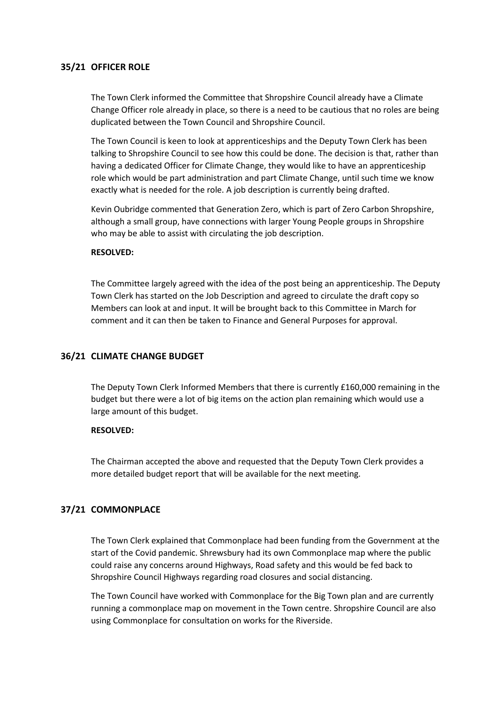# **35/21 OFFICER ROLE**

The Town Clerk informed the Committee that Shropshire Council already have a Climate Change Officer role already in place, so there is a need to be cautious that no roles are being duplicated between the Town Council and Shropshire Council.

The Town Council is keen to look at apprenticeships and the Deputy Town Clerk has been talking to Shropshire Council to see how this could be done. The decision is that, rather than having a dedicated Officer for Climate Change, they would like to have an apprenticeship role which would be part administration and part Climate Change, until such time we know exactly what is needed for the role. A job description is currently being drafted.

Kevin Oubridge commented that Generation Zero, which is part of Zero Carbon Shropshire, although a small group, have connections with larger Young People groups in Shropshire who may be able to assist with circulating the job description.

#### **RESOLVED:**

The Committee largely agreed with the idea of the post being an apprenticeship. The Deputy Town Clerk has started on the Job Description and agreed to circulate the draft copy so Members can look at and input. It will be brought back to this Committee in March for comment and it can then be taken to Finance and General Purposes for approval.

# **36/21 CLIMATE CHANGE BUDGET**

The Deputy Town Clerk Informed Members that there is currently £160,000 remaining in the budget but there were a lot of big items on the action plan remaining which would use a large amount of this budget.

#### **RESOLVED:**

The Chairman accepted the above and requested that the Deputy Town Clerk provides a more detailed budget report that will be available for the next meeting.

### **37/21 COMMONPLACE**

The Town Clerk explained that Commonplace had been funding from the Government at the start of the Covid pandemic. Shrewsbury had its own Commonplace map where the public could raise any concerns around Highways, Road safety and this would be fed back to Shropshire Council Highways regarding road closures and social distancing.

The Town Council have worked with Commonplace for the Big Town plan and are currently running a commonplace map on movement in the Town centre. Shropshire Council are also using Commonplace for consultation on works for the Riverside.